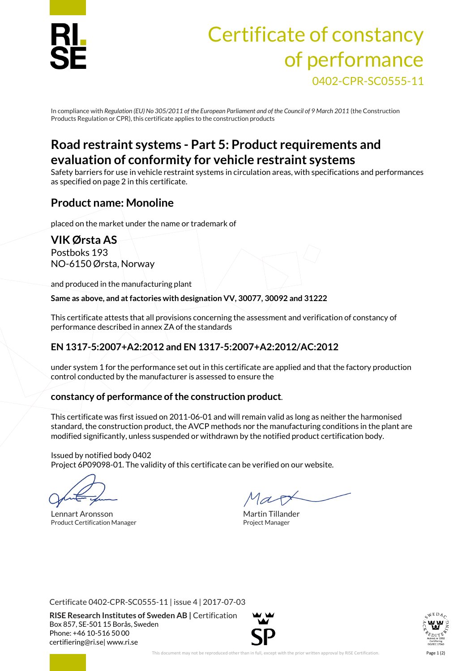

# Certificate of constancy of performance 0402-CPR-SC0555-11

In compliance with *Regulation (EU)No 305/2011 of the European Parliament and of the Council of 9 March 2011* (the Construction Products Regulation or CPR), this certificate applies to the construction products

# **Road restraint systems - Part 5: Product requirements and evaluation of conformity for vehicle restraint systems**

Safety barriers for use in vehicle restraint systems in circulation areas, with specifications and performances as specified on page 2 in this certificate.

## **Product name: Monoline**

placed on the market under the name or trademark of

**VIK Ørsta AS** Postboks 193 NO-6150 Ørsta, Norway

and produced in the manufacturing plant

**Same as above, and at factories with designation VV, 30077, 30092 and 31222**

This certificate attests that all provisions concerning the assessment and verification of constancy of performance described in annex ZA of the standards

### **EN 1317-5:2007+A2:2012 and EN 1317-5:2007+A2:2012/AC:2012**

under system 1 for the performance set out in this certificate are applied and that the factory production control conducted by the manufacturer is assessed to ensure the

#### **constancy of performance of the construction product**.

This certificate was first issued on 2011-06-01 and will remain valid as long as neither the harmonised standard, the construction product, the AVCP methods nor the manufacturing conditions in the plant are modified significantly, unless suspended or withdrawn by the notified product certification body.

Issued by notified body 0402 Project 6P09098-01. The validity of this certificate can be verified on our website.

Lennart Aronsson and The Martin Tillander Product Certification Manager **Product Certification Manager** Project Manager

Certificate 0402-CPR-SC0555-11 | issue 4 | 2017-07-03

**RISE Research Institutes of Sweden AB |** Certification Box 857, SE-501 15 Borås, Sweden Phone: +46 10-516 50 00 [certifiering@ri.se|](mailto:certifiering@ri.se) www.ri.se